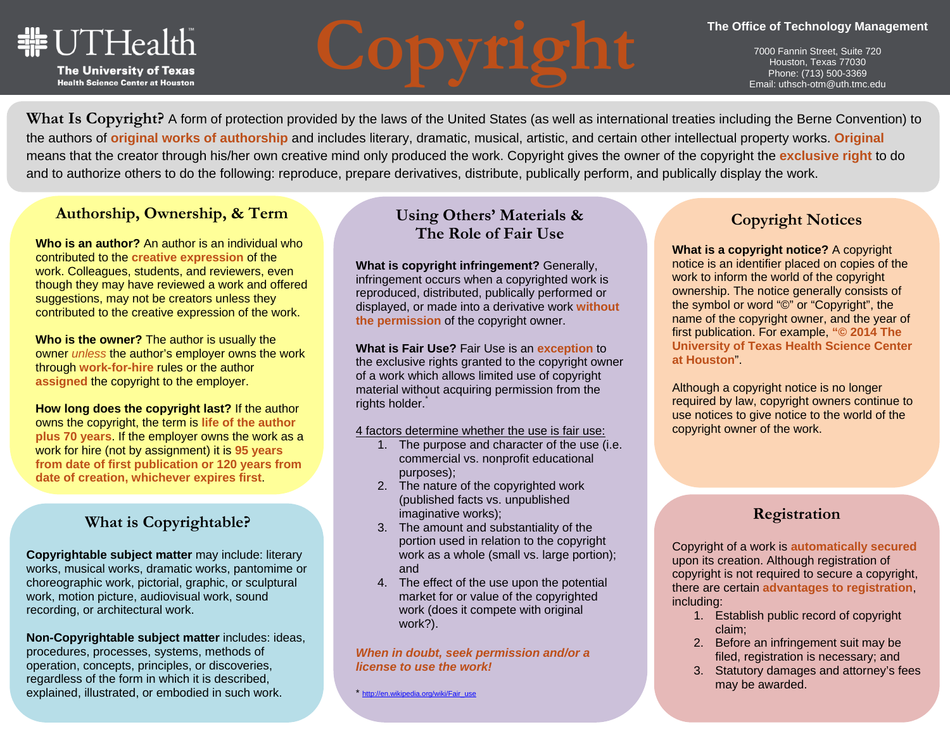# 非UTHealth **The University of Texas Health Science Center at Houston**

# **Copyright**

## **The Office of Technology Management**

7000 Fannin Street, Suite 720 Houston, Texas 77030 Phone: (713) 500-3369 Email: uthsch-otm@uth.tmc.edu

 means that the creator through his/her own creative mind only produced the work. Copyright gives the owner of the copyright the **exclusive right** to do **What Is Copyright?** A form of protection provided by the laws of the United States (as well as international treaties including the Berne Convention) to the authors of **original works of authorship** and includes literary, dramatic, musical, artistic, and certain other intellectual property works. **Original** and to authorize others to do the following: reproduce, prepare derivatives, distribute, publically perform, and publically display the work.

# **Authorship, Ownership, & Term**

**Who is an author?** An author is an individual who contributed to the **creative expression** of the work. Colleagues, students, and reviewers, even though they may have reviewed a work and offered suggestions, may not be creators unless they contributed to the creative expression of the work.

**Who is the owner?** The author is usually the owner *unless* the author's employer owns the work through **work-for-hire** rules or the author **assigned** the copyright to the employer.

**How long does the copyright last?** If the author owns the copyright, the term is **life of the author plus 70 years**. If the employer owns the work as a work for hire (not by assignment) it is **95 years from date of first publication or 120 years from date of creation, whichever expires first**.

# **What is Copyrightable?**

**Copyrightable subject matter** may include: literary works, musical works, dramatic works, pantomime or choreographic work, pictorial, graphic, or sculptural work, motion picture, audiovisual work, sound recording, or architectural work.

**Non-Copyrightable subject matter** includes: ideas, procedures, processes, systems, methods of operation, concepts, principles, or discoveries, regardless of the form in which it is described, explained, illustrated, or embodied in such work.

# **Using Others' Materials & The Role of Fair Use**

**What is copyright infringement?** Generally, infringement occurs when a copyrighted work is reproduced, distributed, publically performed or displayed, or made into a derivative work **without the permission** of the copyright owner.

**What is Fair Use?** Fair Use is an **exception** to the exclusive rights granted to the copyright owner of a work which allows limited use of copyright material without acquiring permission from the rights holder.

4 factors determine whether the use is fair use:

- 1. The purpose and character of the use (i.e. commercial vs. nonprofit educational purposes);
- 2. The nature of the copyrighted work (published facts vs. unpublished imaginative works);
- 3. The amount and substantiality of the portion used in relation to the copyright work as a whole (small vs. large portion); and
- 4. The effect of the use upon the potential market for or value of the copyrighted work (does it compete with original work?).

*When in doubt, seek permission and/or a license to use the work!* 

\* http://en.wikipedia.org/wiki/Fair\_use

# **Copyright Notices**

**What is a copyright notice?** A copyright notice is an identifier placed on copies of the work to inform the world of the copyright ownership. The notice generally consists of the symbol or word "©" or "Copyright", the name of the copyright owner, and the year of first publication. For example, **"© 2014 The University of Texas Health Science Center at Houston**".

Although a copyright notice is no longer required by law, copyright owners continue to use notices to give notice to the world of the copyright owner of the work.

## **Registration**

Copyright of a work is **automatically secured** upon its creation. Although registration of copyright is not required to secure a copyright, there are certain **advantages to registration**, including:

- 1. Establish public record of copyright claim;
- 2. Before an infringement suit may be filed, registration is necessary; and
- 3. Statutory damages and attorney's fees may be awarded.